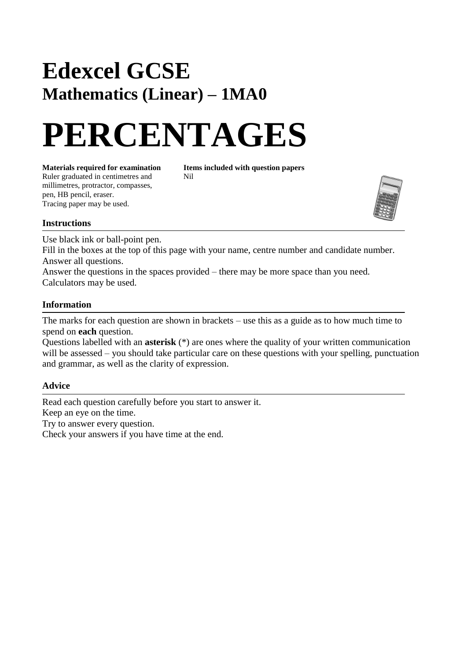## **Edexcel GCSE Mathematics (Linear) – 1MA0**

# **PERCENTAGES**

**Materials required for examination Items included with question papers**<br>Ruler graduated in centimetres and **Nil** Ruler graduated in centimetres and millimetres, protractor, compasses, pen, HB pencil, eraser. Tracing paper may be used.



#### **Instructions**

Use black ink or ball-point pen.

Fill in the boxes at the top of this page with your name, centre number and candidate number. Answer all questions.

Answer the questions in the spaces provided – there may be more space than you need. Calculators may be used.

#### **Information**

The marks for each question are shown in brackets – use this as a guide as to how much time to spend on **each** question.

Questions labelled with an **asterisk** (\*) are ones where the quality of your written communication will be assessed – you should take particular care on these questions with your spelling, punctuation and grammar, as well as the clarity of expression.

### **Advice**

Read each question carefully before you start to answer it. Keep an eye on the time. Try to answer every question. Check your answers if you have time at the end.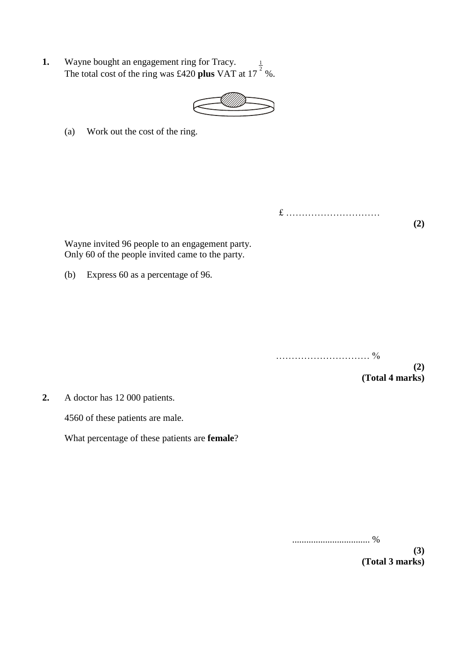**1.** Wayne bought an engagement ring for Tracy. Wayne bought an engagement ring for Tracy.<br>The total cost of the ring was £420 **plus** VAT at  $17^{-2}$ %.



(a) Work out the cost of the ring.

£ ………………………… **(2)**

Wayne invited 96 people to an engagement party. Only 60 of the people invited came to the party.

(b) Express 60 as a percentage of 96.

………………………… % **(2) (Total 4 marks)**

**2.** A doctor has 12 000 patients.

4560 of these patients are male.

What percentage of these patients are **female**?

................................. %

**(3) (Total 3 marks)**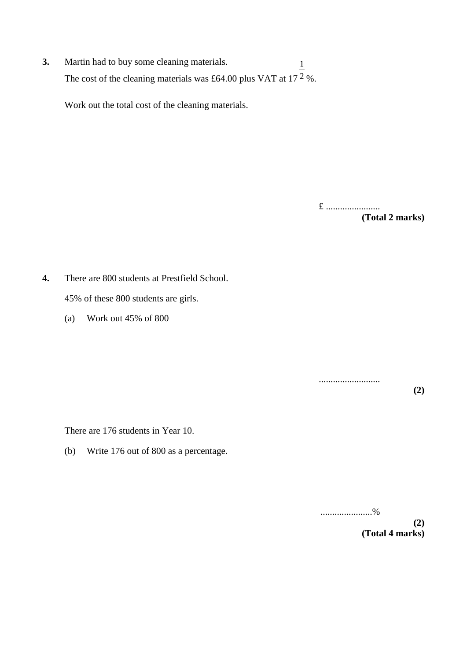**3.** Martin had to buy some cleaning materials. The cost of the cleaning materials was £64.00 plus VAT at 17  $2\%$ . 1

Work out the total cost of the cleaning materials.

£ ....................... **(Total 2 marks)**

**4.** There are 800 students at Prestfield School. 45% of these 800 students are girls.

(a) Work out 45% of 800

..........................

**(2)**

There are 176 students in Year 10.

(b) Write 176 out of 800 as a percentage.

......................% **(2)**

**(Total 4 marks)**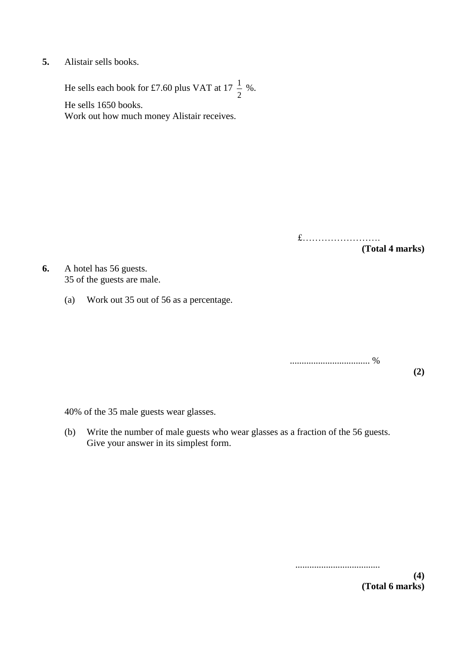**5.** Alistair sells books.

He sells each book for £7.60 plus VAT at 17  $\frac{1}{2}$  %. 2 1

He sells 1650 books. Work out how much money Alistair receives.

> £……………………. **(Total 4 marks)**

**6.** A hotel has 56 guests. 35 of the guests are male.

(a) Work out 35 out of 56 as a percentage.

.................................. %

**(2)**

40% of the 35 male guests wear glasses.

(b) Write the number of male guests who wear glasses as a fraction of the 56 guests. Give your answer in its simplest form.

> .................................... **(4) (Total 6 marks)**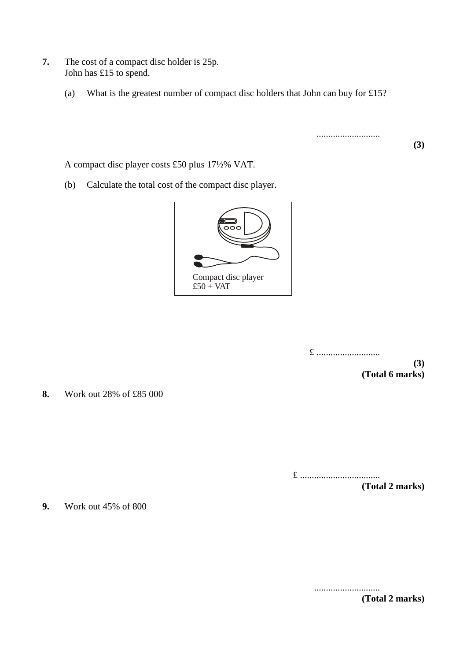- **7.** The cost of a compact disc holder is 25p. John has £15 to spend.
	- (a) What is the greatest number of compact disc holders that John can buy for £15?

...........................

A compact disc player costs £50 plus 17½% VAT.

(b) Calculate the total cost of the compact disc player.



£ ...........................

**(3) (Total 6 marks)**

**(3)**

**8.** Work out 28% of £85 000

£ ..................................

**(Total 2 marks)**

**9.** Work out 45% of 800

............................ **(Total 2 marks)**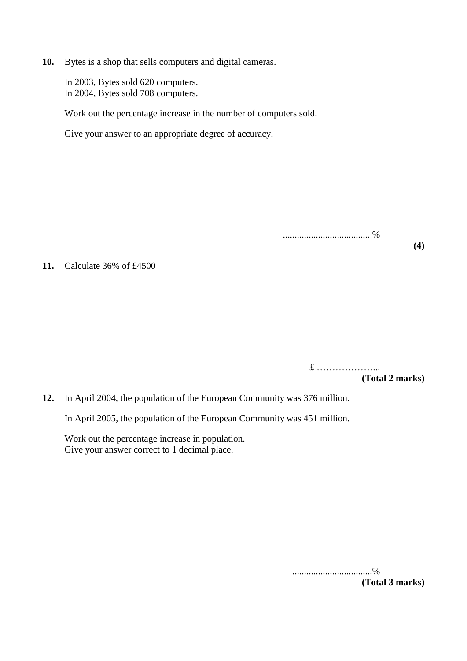**10.** Bytes is a shop that sells computers and digital cameras.

In 2003, Bytes sold 620 computers. In 2004, Bytes sold 708 computers.

Work out the percentage increase in the number of computers sold.

Give your answer to an appropriate degree of accuracy.

**11.** Calculate 36% of £4500

£ ………………... **(Total 2 marks)**

**(4)**

..................................... %

**12.** In April 2004, the population of the European Community was 376 million.

In April 2005*,* the population of the European Community was 451 million.

Work out the percentage increase in population. Give your answer correct to 1 decimal place.

> ..................................% **(Total 3 marks)**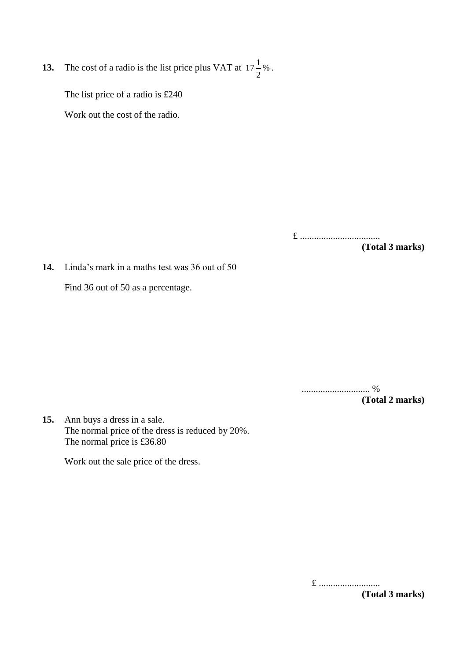**13.** The cost of a radio is the list price plus VAT at  $17\frac{1}{6}$ %. 2  $17\frac{1}{2}$ 

The list price of a radio is £240

Work out the cost of the radio.

£ .................................. **(Total 3 marks)**

**14.** Linda's mark in a maths test was 36 out of 50

Find 36 out of 50 as a percentage.

............................. % **(Total 2 marks)**

**15.** Ann buys a dress in a sale. The normal price of the dress is reduced by 20%. The normal price is £36.80

Work out the sale price of the dress.

£ ..........................

**(Total 3 marks)**